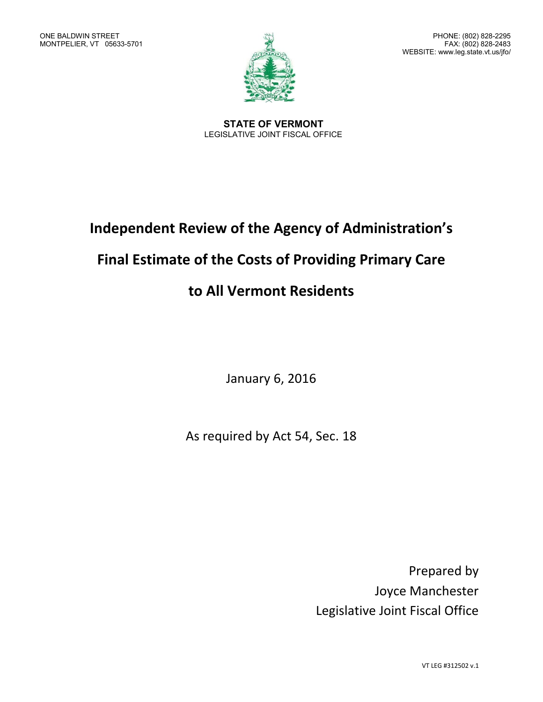

**STATE OF VERMONT** LEGISLATIVE JOINT FISCAL OFFICE

# **Independent Review of the Agency of Administration's**

## **Final Estimate of the Costs of Providing Primary Care**

## **to All Vermont Residents**

January 6, 2016

As required by Act 54, Sec. 18

Prepared by Joyce Manchester Legislative Joint Fiscal Office

VT LEG #312502 v.1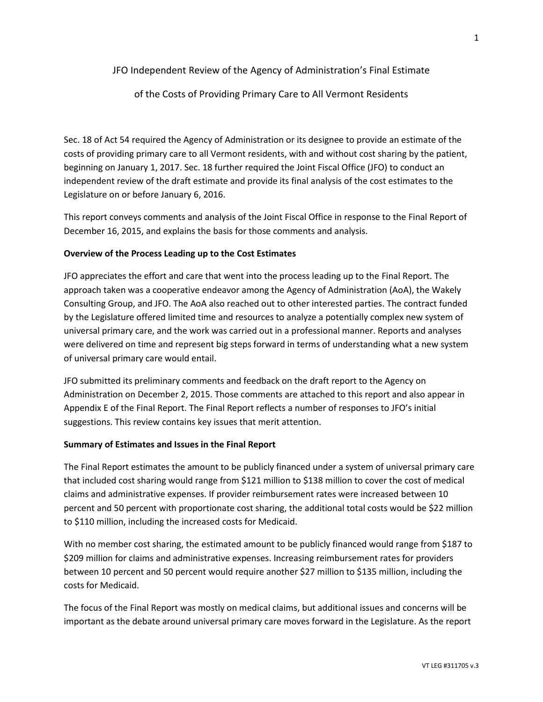### JFO Independent Review of the Agency of Administration's Final Estimate

### of the Costs of Providing Primary Care to All Vermont Residents

Sec. 18 of Act 54 required the Agency of Administration or its designee to provide an estimate of the costs of providing primary care to all Vermont residents, with and without cost sharing by the patient, beginning on January 1, 2017. Sec. 18 further required the Joint Fiscal Office (JFO) to conduct an independent review of the draft estimate and provide its final analysis of the cost estimates to the Legislature on or before January 6, 2016.

This report conveys comments and analysis of the Joint Fiscal Office in response to the Final Report of December 16, 2015, and explains the basis for those comments and analysis.

### **Overview of the Process Leading up to the Cost Estimates**

JFO appreciates the effort and care that went into the process leading up to the Final Report. The approach taken was a cooperative endeavor among the Agency of Administration (AoA), the Wakely Consulting Group, and JFO. The AoA also reached out to other interested parties. The contract funded by the Legislature offered limited time and resources to analyze a potentially complex new system of universal primary care, and the work was carried out in a professional manner. Reports and analyses were delivered on time and represent big steps forward in terms of understanding what a new system of universal primary care would entail.

JFO submitted its preliminary comments and feedback on the draft report to the Agency on Administration on December 2, 2015. Those comments are attached to this report and also appear in Appendix E of the Final Report. The Final Report reflects a number of responses to JFO's initial suggestions. This review contains key issues that merit attention.

#### **Summary of Estimates and Issues in the Final Report**

The Final Report estimates the amount to be publicly financed under a system of universal primary care that included cost sharing would range from \$121 million to \$138 million to cover the cost of medical claims and administrative expenses. If provider reimbursement rates were increased between 10 percent and 50 percent with proportionate cost sharing, the additional total costs would be \$22 million to \$110 million, including the increased costs for Medicaid.

With no member cost sharing, the estimated amount to be publicly financed would range from \$187 to \$209 million for claims and administrative expenses. Increasing reimbursement rates for providers between 10 percent and 50 percent would require another \$27 million to \$135 million, including the costs for Medicaid.

The focus of the Final Report was mostly on medical claims, but additional issues and concerns will be important as the debate around universal primary care moves forward in the Legislature. As the report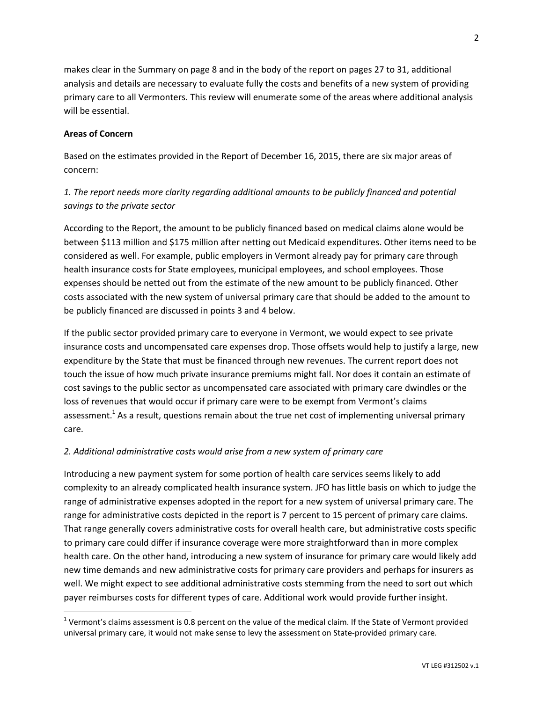makes clear in the Summary on page 8 and in the body of the report on pages 27 to 31, additional analysis and details are necessary to evaluate fully the costs and benefits of a new system of providing primary care to all Vermonters. This review will enumerate some of the areas where additional analysis will be essential.

### **Areas of Concern**

l

Based on the estimates provided in the Report of December 16, 2015, there are six major areas of concern:

## *1. The report needs more clarity regarding additional amounts to be publicly financed and potential savings to the private sector*

According to the Report, the amount to be publicly financed based on medical claims alone would be between \$113 million and \$175 million after netting out Medicaid expenditures. Other items need to be considered as well. For example, public employers in Vermont already pay for primary care through health insurance costs for State employees, municipal employees, and school employees. Those expenses should be netted out from the estimate of the new amount to be publicly financed. Other costs associated with the new system of universal primary care that should be added to the amount to be publicly financed are discussed in points 3 and 4 below.

If the public sector provided primary care to everyone in Vermont, we would expect to see private insurance costs and uncompensated care expenses drop. Those offsets would help to justify a large, new expenditure by the State that must be financed through new revenues. The current report does not touch the issue of how much private insurance premiums might fall. Nor does it contain an estimate of cost savings to the public sector as uncompensated care associated with primary care dwindles or the loss of revenues that would occur if primary care were to be exempt from Vermont's claims assessment.<sup>1</sup> As a result, questions remain about the true net cost of implementing universal primary care.

### *2. Additional administrative costs would arise from a new system of primary care*

Introducing a new payment system for some portion of health care services seems likely to add complexity to an already complicated health insurance system. JFO has little basis on which to judge the range of administrative expenses adopted in the report for a new system of universal primary care. The range for administrative costs depicted in the report is 7 percent to 15 percent of primary care claims. That range generally covers administrative costs for overall health care, but administrative costs specific to primary care could differ if insurance coverage were more straightforward than in more complex health care. On the other hand, introducing a new system of insurance for primary care would likely add new time demands and new administrative costs for primary care providers and perhaps for insurers as well. We might expect to see additional administrative costs stemming from the need to sort out which payer reimburses costs for different types of care. Additional work would provide further insight.

<sup>&</sup>lt;sup>1</sup> Vermont's claims assessment is 0.8 percent on the value of the medical claim. If the State of Vermont provided universal primary care, it would not make sense to levy the assessment on State-provided primary care.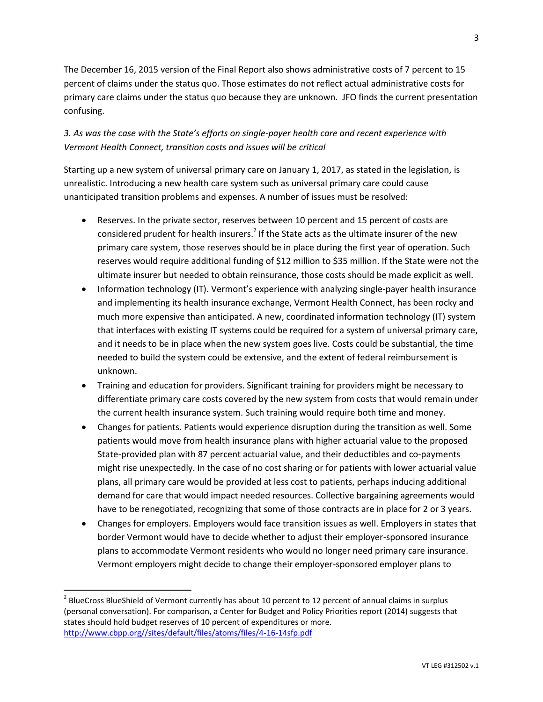The December 16, 2015 version of the Final Report also shows administrative costs of 7 percent to 15 percent of claims under the status quo. Those estimates do not reflect actual administrative costs for primary care claims under the status quo because they are unknown. JFO finds the current presentation confusing.

### *3. As was the case with the State's efforts on single-payer health care and recent experience with Vermont Health Connect, transition costs and issues will be critical*

Starting up a new system of universal primary care on January 1, 2017, as stated in the legislation, is unrealistic. Introducing a new health care system such as universal primary care could cause unanticipated transition problems and expenses. A number of issues must be resolved:

- Reserves. In the private sector, reserves between 10 percent and 15 percent of costs are considered prudent for health insurers.<sup>2</sup> If the State acts as the ultimate insurer of the new primary care system, those reserves should be in place during the first year of operation. Such reserves would require additional funding of \$12 million to \$35 million. If the State were not the ultimate insurer but needed to obtain reinsurance, those costs should be made explicit as well.
- Information technology (IT). Vermont's experience with analyzing single-payer health insurance and implementing its health insurance exchange, Vermont Health Connect, has been rocky and much more expensive than anticipated. A new, coordinated information technology (IT) system that interfaces with existing IT systems could be required for a system of universal primary care, and it needs to be in place when the new system goes live. Costs could be substantial, the time needed to build the system could be extensive, and the extent of federal reimbursement is unknown.
- Training and education for providers. Significant training for providers might be necessary to differentiate primary care costs covered by the new system from costs that would remain under the current health insurance system. Such training would require both time and money.
- Changes for patients. Patients would experience disruption during the transition as well. Some patients would move from health insurance plans with higher actuarial value to the proposed State-provided plan with 87 percent actuarial value, and their deductibles and co-payments might rise unexpectedly. In the case of no cost sharing or for patients with lower actuarial value plans, all primary care would be provided at less cost to patients, perhaps inducing additional demand for care that would impact needed resources. Collective bargaining agreements would have to be renegotiated, recognizing that some of those contracts are in place for 2 or 3 years.
- Changes for employers. Employers would face transition issues as well. Employers in states that border Vermont would have to decide whether to adjust their employer-sponsored insurance plans to accommodate Vermont residents who would no longer need primary care insurance. Vermont employers might decide to change their employer-sponsored employer plans to

 $\overline{a}$ 

 $^2$  BlueCross BlueShield of Vermont currently has about 10 percent to 12 percent of annual claims in surplus (personal conversation). For comparison, a Center for Budget and Policy Priorities report (2014) suggests that states should hold budget reserves of 10 percent of expenditures or more. [http://www.cbpp.org//sites/default/files/atoms/files/4-16-14sfp.pdf](http://www.cbpp.org/sites/default/files/atoms/files/4-16-14sfp.pdf)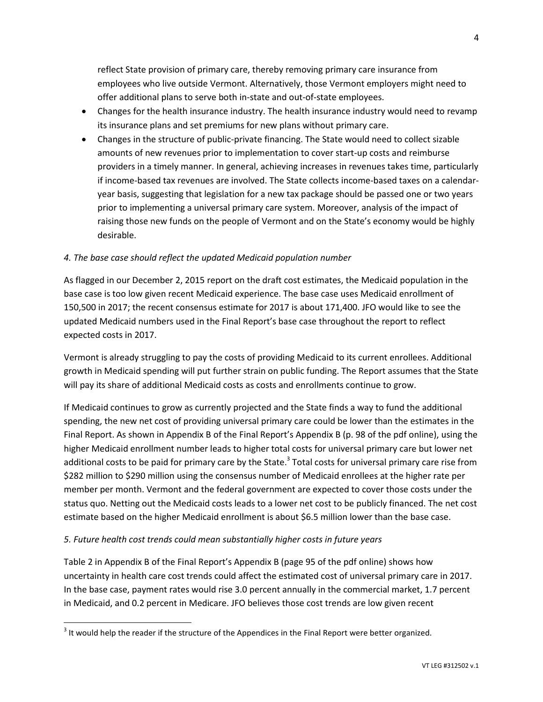reflect State provision of primary care, thereby removing primary care insurance from employees who live outside Vermont. Alternatively, those Vermont employers might need to offer additional plans to serve both in-state and out-of-state employees.

- Changes for the health insurance industry. The health insurance industry would need to revamp its insurance plans and set premiums for new plans without primary care.
- Changes in the structure of public-private financing. The State would need to collect sizable amounts of new revenues prior to implementation to cover start-up costs and reimburse providers in a timely manner. In general, achieving increases in revenues takes time, particularly if income-based tax revenues are involved. The State collects income-based taxes on a calendaryear basis, suggesting that legislation for a new tax package should be passed one or two years prior to implementing a universal primary care system. Moreover, analysis of the impact of raising those new funds on the people of Vermont and on the State's economy would be highly desirable.

### *4. The base case should reflect the updated Medicaid population number*

As flagged in our December 2, 2015 report on the draft cost estimates, the Medicaid population in the base case is too low given recent Medicaid experience. The base case uses Medicaid enrollment of 150,500 in 2017; the recent consensus estimate for 2017 is about 171,400. JFO would like to see the updated Medicaid numbers used in the Final Report's base case throughout the report to reflect expected costs in 2017.

Vermont is already struggling to pay the costs of providing Medicaid to its current enrollees. Additional growth in Medicaid spending will put further strain on public funding. The Report assumes that the State will pay its share of additional Medicaid costs as costs and enrollments continue to grow.

If Medicaid continues to grow as currently projected and the State finds a way to fund the additional spending, the new net cost of providing universal primary care could be lower than the estimates in the Final Report. As shown in Appendix B of the Final Report's Appendix B (p. 98 of the pdf online), using the higher Medicaid enrollment number leads to higher total costs for universal primary care but lower net additional costs to be paid for primary care by the State.<sup>3</sup> Total costs for universal primary care rise from \$282 million to \$290 million using the consensus number of Medicaid enrollees at the higher rate per member per month. Vermont and the federal government are expected to cover those costs under the status quo. Netting out the Medicaid costs leads to a lower net cost to be publicly financed. The net cost estimate based on the higher Medicaid enrollment is about \$6.5 million lower than the base case.

### *5. Future health cost trends could mean substantially higher costs in future years*

 $\overline{\phantom{a}}$ 

Table 2 in Appendix B of the Final Report's Appendix B (page 95 of the pdf online) shows how uncertainty in health care cost trends could affect the estimated cost of universal primary care in 2017. In the base case, payment rates would rise 3.0 percent annually in the commercial market, 1.7 percent in Medicaid, and 0.2 percent in Medicare. JFO believes those cost trends are low given recent

 $3$  It would help the reader if the structure of the Appendices in the Final Report were better organized.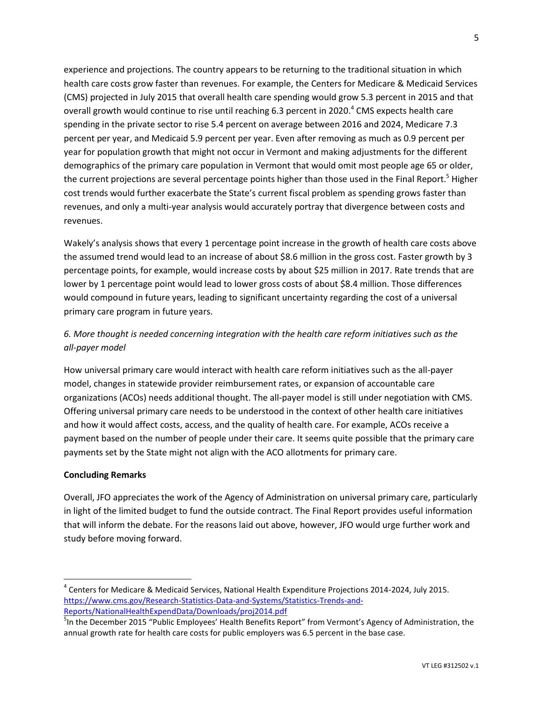experience and projections. The country appears to be returning to the traditional situation in which health care costs grow faster than revenues. For example, the Centers for Medicare & Medicaid Services (CMS) projected in July 2015 that overall health care spending would grow 5.3 percent in 2015 and that overall growth would continue to rise until reaching 6.3 percent in 2020.<sup>4</sup> CMS expects health care spending in the private sector to rise 5.4 percent on average between 2016 and 2024, Medicare 7.3 percent per year, and Medicaid 5.9 percent per year. Even after removing as much as 0.9 percent per year for population growth that might not occur in Vermont and making adjustments for the different demographics of the primary care population in Vermont that would omit most people age 65 or older, the current projections are several percentage points higher than those used in the Final Report.<sup>5</sup> Higher cost trends would further exacerbate the State's current fiscal problem as spending grows faster than revenues, and only a multi-year analysis would accurately portray that divergence between costs and revenues.

Wakely's analysis shows that every 1 percentage point increase in the growth of health care costs above the assumed trend would lead to an increase of about \$8.6 million in the gross cost. Faster growth by 3 percentage points, for example, would increase costs by about \$25 million in 2017. Rate trends that are lower by 1 percentage point would lead to lower gross costs of about \$8.4 million. Those differences would compound in future years, leading to significant uncertainty regarding the cost of a universal primary care program in future years.

## *6. More thought is needed concerning integration with the health care reform initiatives such as the all-payer model*

How universal primary care would interact with health care reform initiatives such as the all-payer model, changes in statewide provider reimbursement rates, or expansion of accountable care organizations (ACOs) needs additional thought. The all-payer model is still under negotiation with CMS. Offering universal primary care needs to be understood in the context of other health care initiatives and how it would affect costs, access, and the quality of health care. For example, ACOs receive a payment based on the number of people under their care. It seems quite possible that the primary care payments set by the State might not align with the ACO allotments for primary care.

### **Concluding Remarks**

l

Overall, JFO appreciates the work of the Agency of Administration on universal primary care, particularly in light of the limited budget to fund the outside contract. The Final Report provides useful information that will inform the debate. For the reasons laid out above, however, JFO would urge further work and study before moving forward.

<sup>4</sup> Centers for Medicare & Medicaid Services, National Health Expenditure Projections 2014-2024, July 2015. [https://www.cms.gov/Research-Statistics-Data-and-Systems/Statistics-Trends-and-](https://www.cms.gov/Research-Statistics-Data-and-Systems/Statistics-Trends-and-Reports/NationalHealthExpendData/Downloads/proj2014.pdf)[Reports/NationalHealthExpendData/Downloads/proj2014.pdf](https://www.cms.gov/Research-Statistics-Data-and-Systems/Statistics-Trends-and-Reports/NationalHealthExpendData/Downloads/proj2014.pdf)

<sup>&</sup>lt;sup>5</sup>In the December 2015 "Public Employees' Health Benefits Report" from Vermont's Agency of Administration, the annual growth rate for health care costs for public employers was 6.5 percent in the base case.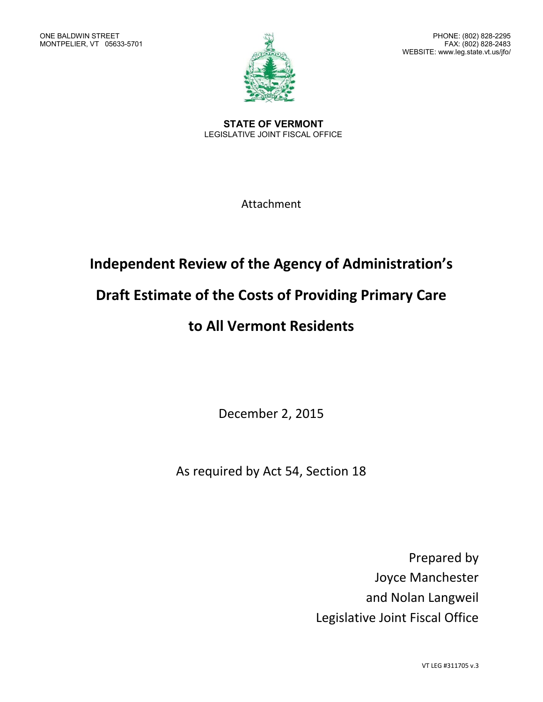

**STATE OF VERMONT** LEGISLATIVE JOINT FISCAL OFFICE

Attachment

## **Independent Review of the Agency of Administration's**

## **Draft Estimate of the Costs of Providing Primary Care**

## **to All Vermont Residents**

December 2, 2015

As required by Act 54, Section 18

Prepared by Joyce Manchester and Nolan Langweil Legislative Joint Fiscal Office

VT LEG #311705 v.3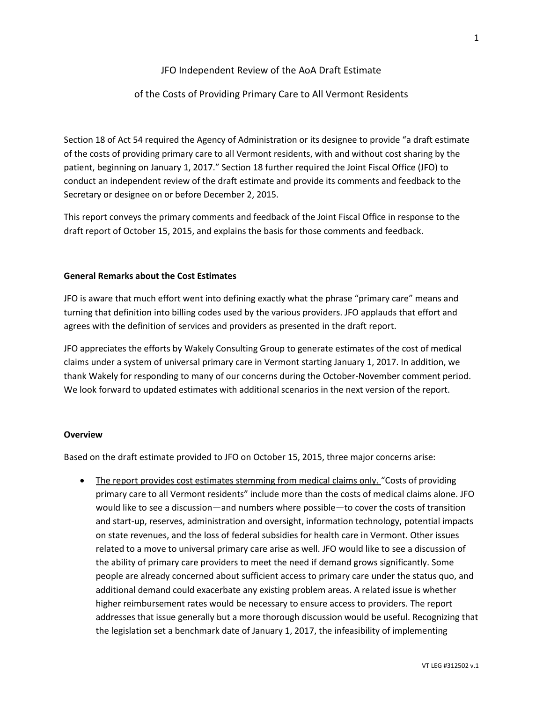### JFO Independent Review of the AoA Draft Estimate

### of the Costs of Providing Primary Care to All Vermont Residents

Section 18 of Act 54 required the Agency of Administration or its designee to provide "a draft estimate of the costs of providing primary care to all Vermont residents, with and without cost sharing by the patient, beginning on January 1, 2017." Section 18 further required the Joint Fiscal Office (JFO) to conduct an independent review of the draft estimate and provide its comments and feedback to the Secretary or designee on or before December 2, 2015.

This report conveys the primary comments and feedback of the Joint Fiscal Office in response to the draft report of October 15, 2015, and explains the basis for those comments and feedback.

### **General Remarks about the Cost Estimates**

JFO is aware that much effort went into defining exactly what the phrase "primary care" means and turning that definition into billing codes used by the various providers. JFO applauds that effort and agrees with the definition of services and providers as presented in the draft report.

JFO appreciates the efforts by Wakely Consulting Group to generate estimates of the cost of medical claims under a system of universal primary care in Vermont starting January 1, 2017. In addition, we thank Wakely for responding to many of our concerns during the October-November comment period. We look forward to updated estimates with additional scenarios in the next version of the report.

#### **Overview**

Based on the draft estimate provided to JFO on October 15, 2015, three major concerns arise:

• The report provides cost estimates stemming from medical claims only. "Costs of providing primary care to all Vermont residents" include more than the costs of medical claims alone. JFO would like to see a discussion—and numbers where possible—to cover the costs of transition and start-up, reserves, administration and oversight, information technology, potential impacts on state revenues, and the loss of federal subsidies for health care in Vermont. Other issues related to a move to universal primary care arise as well. JFO would like to see a discussion of the ability of primary care providers to meet the need if demand grows significantly. Some people are already concerned about sufficient access to primary care under the status quo, and additional demand could exacerbate any existing problem areas. A related issue is whether higher reimbursement rates would be necessary to ensure access to providers. The report addresses that issue generally but a more thorough discussion would be useful. Recognizing that the legislation set a benchmark date of January 1, 2017, the infeasibility of implementing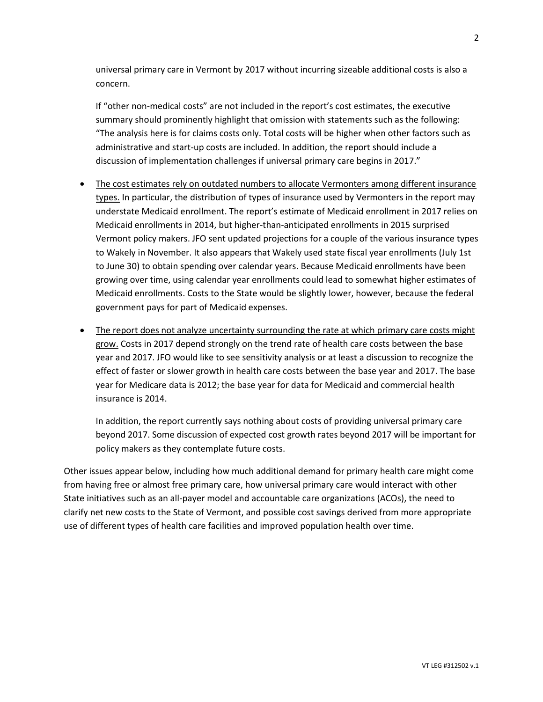universal primary care in Vermont by 2017 without incurring sizeable additional costs is also a concern.

If "other non-medical costs" are not included in the report's cost estimates, the executive summary should prominently highlight that omission with statements such as the following: "The analysis here is for claims costs only. Total costs will be higher when other factors such as administrative and start-up costs are included. In addition, the report should include a discussion of implementation challenges if universal primary care begins in 2017."

- The cost estimates rely on outdated numbers to allocate Vermonters among different insurance types. In particular, the distribution of types of insurance used by Vermonters in the report may understate Medicaid enrollment. The report's estimate of Medicaid enrollment in 2017 relies on Medicaid enrollments in 2014, but higher-than-anticipated enrollments in 2015 surprised Vermont policy makers. JFO sent updated projections for a couple of the various insurance types to Wakely in November. It also appears that Wakely used state fiscal year enrollments (July 1st to June 30) to obtain spending over calendar years. Because Medicaid enrollments have been growing over time, using calendar year enrollments could lead to somewhat higher estimates of Medicaid enrollments. Costs to the State would be slightly lower, however, because the federal government pays for part of Medicaid expenses.
- The report does not analyze uncertainty surrounding the rate at which primary care costs might grow. Costs in 2017 depend strongly on the trend rate of health care costs between the base year and 2017. JFO would like to see sensitivity analysis or at least a discussion to recognize the effect of faster or slower growth in health care costs between the base year and 2017. The base year for Medicare data is 2012; the base year for data for Medicaid and commercial health insurance is 2014.

In addition, the report currently says nothing about costs of providing universal primary care beyond 2017. Some discussion of expected cost growth rates beyond 2017 will be important for policy makers as they contemplate future costs.

Other issues appear below, including how much additional demand for primary health care might come from having free or almost free primary care, how universal primary care would interact with other State initiatives such as an all-payer model and accountable care organizations (ACOs), the need to clarify net new costs to the State of Vermont, and possible cost savings derived from more appropriate use of different types of health care facilities and improved population health over time.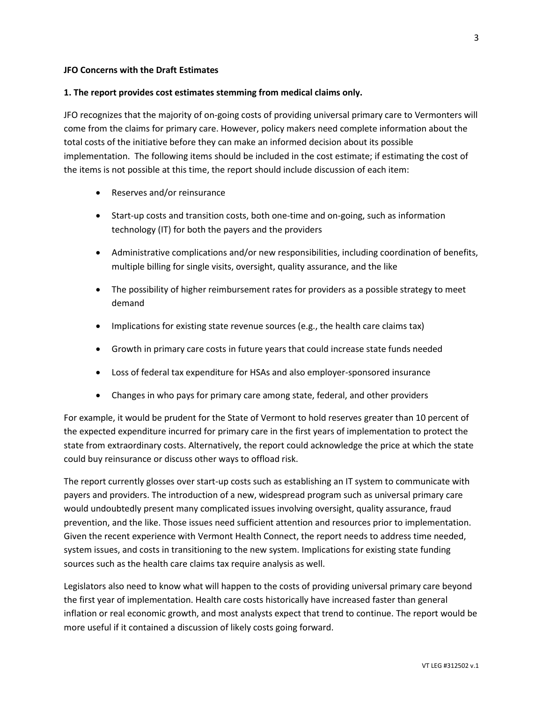### **JFO Concerns with the Draft Estimates**

### **1. The report provides cost estimates stemming from medical claims only.**

JFO recognizes that the majority of on-going costs of providing universal primary care to Vermonters will come from the claims for primary care. However, policy makers need complete information about the total costs of the initiative before they can make an informed decision about its possible implementation. The following items should be included in the cost estimate; if estimating the cost of the items is not possible at this time, the report should include discussion of each item:

- Reserves and/or reinsurance
- Start-up costs and transition costs, both one-time and on-going, such as information technology (IT) for both the payers and the providers
- Administrative complications and/or new responsibilities, including coordination of benefits, multiple billing for single visits, oversight, quality assurance, and the like
- The possibility of higher reimbursement rates for providers as a possible strategy to meet demand
- Implications for existing state revenue sources (e.g., the health care claims tax)
- Growth in primary care costs in future years that could increase state funds needed
- Loss of federal tax expenditure for HSAs and also employer-sponsored insurance
- Changes in who pays for primary care among state, federal, and other providers

For example, it would be prudent for the State of Vermont to hold reserves greater than 10 percent of the expected expenditure incurred for primary care in the first years of implementation to protect the state from extraordinary costs. Alternatively, the report could acknowledge the price at which the state could buy reinsurance or discuss other ways to offload risk.

The report currently glosses over start-up costs such as establishing an IT system to communicate with payers and providers. The introduction of a new, widespread program such as universal primary care would undoubtedly present many complicated issues involving oversight, quality assurance, fraud prevention, and the like. Those issues need sufficient attention and resources prior to implementation. Given the recent experience with Vermont Health Connect, the report needs to address time needed, system issues, and costs in transitioning to the new system. Implications for existing state funding sources such as the health care claims tax require analysis as well.

Legislators also need to know what will happen to the costs of providing universal primary care beyond the first year of implementation. Health care costs historically have increased faster than general inflation or real economic growth, and most analysts expect that trend to continue. The report would be more useful if it contained a discussion of likely costs going forward.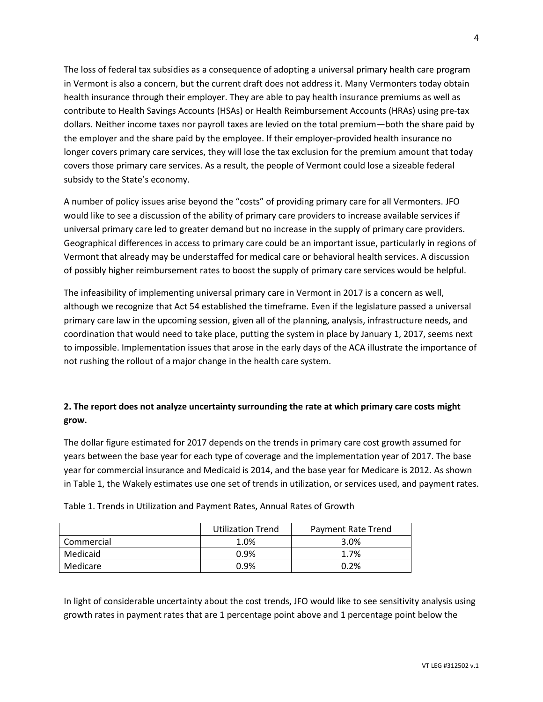The loss of federal tax subsidies as a consequence of adopting a universal primary health care program in Vermont is also a concern, but the current draft does not address it. Many Vermonters today obtain health insurance through their employer. They are able to pay health insurance premiums as well as contribute to Health Savings Accounts (HSAs) or Health Reimbursement Accounts (HRAs) using pre-tax dollars. Neither income taxes nor payroll taxes are levied on the total premium—both the share paid by the employer and the share paid by the employee. If their employer-provided health insurance no longer covers primary care services, they will lose the tax exclusion for the premium amount that today covers those primary care services. As a result, the people of Vermont could lose a sizeable federal subsidy to the State's economy.

A number of policy issues arise beyond the "costs" of providing primary care for all Vermonters. JFO would like to see a discussion of the ability of primary care providers to increase available services if universal primary care led to greater demand but no increase in the supply of primary care providers. Geographical differences in access to primary care could be an important issue, particularly in regions of Vermont that already may be understaffed for medical care or behavioral health services. A discussion of possibly higher reimbursement rates to boost the supply of primary care services would be helpful.

The infeasibility of implementing universal primary care in Vermont in 2017 is a concern as well, although we recognize that Act 54 established the timeframe. Even if the legislature passed a universal primary care law in the upcoming session, given all of the planning, analysis, infrastructure needs, and coordination that would need to take place, putting the system in place by January 1, 2017, seems next to impossible. Implementation issues that arose in the early days of the ACA illustrate the importance of not rushing the rollout of a major change in the health care system.

## **2. The report does not analyze uncertainty surrounding the rate at which primary care costs might grow.**

The dollar figure estimated for 2017 depends on the trends in primary care cost growth assumed for years between the base year for each type of coverage and the implementation year of 2017. The base year for commercial insurance and Medicaid is 2014, and the base year for Medicare is 2012. As shown in Table 1, the Wakely estimates use one set of trends in utilization, or services used, and payment rates.

|            | <b>Utilization Trend</b> | Payment Rate Trend |  |
|------------|--------------------------|--------------------|--|
| Commercial | 1.0%                     | 3.0%               |  |
| Medicaid   | 0.9%                     | 1.7%               |  |
| Medicare   | 0.9%                     | 0.2%               |  |

Table 1. Trends in Utilization and Payment Rates, Annual Rates of Growth

In light of considerable uncertainty about the cost trends, JFO would like to see sensitivity analysis using growth rates in payment rates that are 1 percentage point above and 1 percentage point below the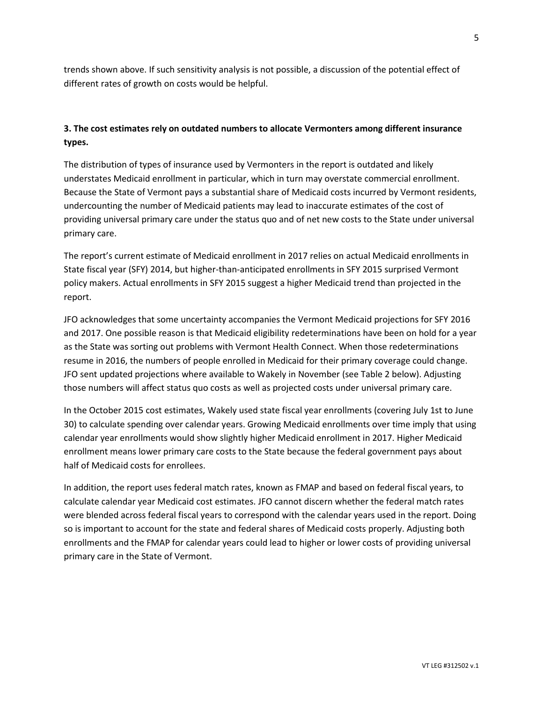trends shown above. If such sensitivity analysis is not possible, a discussion of the potential effect of different rates of growth on costs would be helpful.

### **3. The cost estimates rely on outdated numbers to allocate Vermonters among different insurance types.**

The distribution of types of insurance used by Vermonters in the report is outdated and likely understates Medicaid enrollment in particular, which in turn may overstate commercial enrollment. Because the State of Vermont pays a substantial share of Medicaid costs incurred by Vermont residents, undercounting the number of Medicaid patients may lead to inaccurate estimates of the cost of providing universal primary care under the status quo and of net new costs to the State under universal primary care.

The report's current estimate of Medicaid enrollment in 2017 relies on actual Medicaid enrollments in State fiscal year (SFY) 2014, but higher-than-anticipated enrollments in SFY 2015 surprised Vermont policy makers. Actual enrollments in SFY 2015 suggest a higher Medicaid trend than projected in the report.

JFO acknowledges that some uncertainty accompanies the Vermont Medicaid projections for SFY 2016 and 2017. One possible reason is that Medicaid eligibility redeterminations have been on hold for a year as the State was sorting out problems with Vermont Health Connect. When those redeterminations resume in 2016, the numbers of people enrolled in Medicaid for their primary coverage could change. JFO sent updated projections where available to Wakely in November (see Table 2 below). Adjusting those numbers will affect status quo costs as well as projected costs under universal primary care.

In the October 2015 cost estimates, Wakely used state fiscal year enrollments (covering July 1st to June 30) to calculate spending over calendar years. Growing Medicaid enrollments over time imply that using calendar year enrollments would show slightly higher Medicaid enrollment in 2017. Higher Medicaid enrollment means lower primary care costs to the State because the federal government pays about half of Medicaid costs for enrollees.

In addition, the report uses federal match rates, known as FMAP and based on federal fiscal years, to calculate calendar year Medicaid cost estimates. JFO cannot discern whether the federal match rates were blended across federal fiscal years to correspond with the calendar years used in the report. Doing so is important to account for the state and federal shares of Medicaid costs properly. Adjusting both enrollments and the FMAP for calendar years could lead to higher or lower costs of providing universal primary care in the State of Vermont.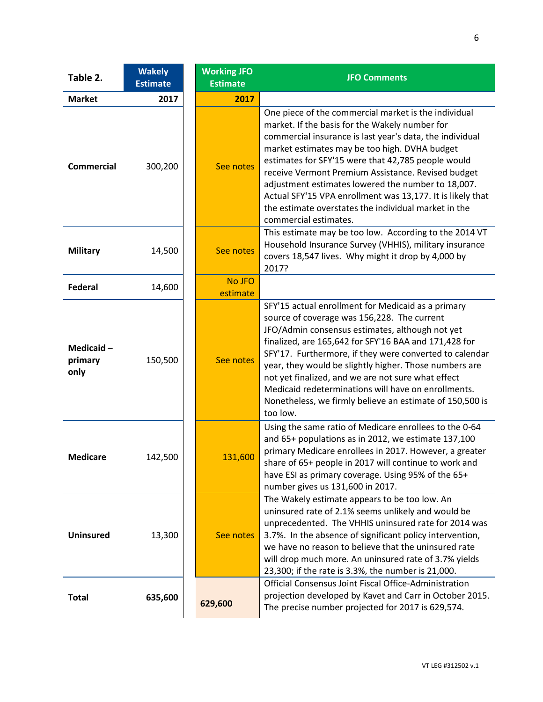| Table 2.                        | <b>Wakely</b><br><b>Estimate</b> | <b>Working JFO</b><br><b>Estimate</b> | <b>JFO Comments</b>                                                                                                                                                                                                                                                                                                                                                                                                                                                                                                                  |
|---------------------------------|----------------------------------|---------------------------------------|--------------------------------------------------------------------------------------------------------------------------------------------------------------------------------------------------------------------------------------------------------------------------------------------------------------------------------------------------------------------------------------------------------------------------------------------------------------------------------------------------------------------------------------|
| <b>Market</b>                   | 2017                             | 2017                                  |                                                                                                                                                                                                                                                                                                                                                                                                                                                                                                                                      |
| <b>Commercial</b>               | 300,200                          | See notes                             | One piece of the commercial market is the individual<br>market. If the basis for the Wakely number for<br>commercial insurance is last year's data, the individual<br>market estimates may be too high. DVHA budget<br>estimates for SFY'15 were that 42,785 people would<br>receive Vermont Premium Assistance. Revised budget<br>adjustment estimates lowered the number to 18,007.<br>Actual SFY'15 VPA enrollment was 13,177. It is likely that<br>the estimate overstates the individual market in the<br>commercial estimates. |
| <b>Military</b>                 | 14,500                           | See notes                             | This estimate may be too low. According to the 2014 VT<br>Household Insurance Survey (VHHIS), military insurance<br>covers 18,547 lives. Why might it drop by 4,000 by<br>2017?                                                                                                                                                                                                                                                                                                                                                      |
| <b>Federal</b>                  | 14,600                           | No JFO<br>estimate                    |                                                                                                                                                                                                                                                                                                                                                                                                                                                                                                                                      |
| Medicaid $-$<br>primary<br>only | 150,500                          | See notes                             | SFY'15 actual enrollment for Medicaid as a primary<br>source of coverage was 156,228. The current<br>JFO/Admin consensus estimates, although not yet<br>finalized, are 165,642 for SFY'16 BAA and 171,428 for<br>SFY'17. Furthermore, if they were converted to calendar<br>year, they would be slightly higher. Those numbers are<br>not yet finalized, and we are not sure what effect<br>Medicaid redeterminations will have on enrollments.<br>Nonetheless, we firmly believe an estimate of 150,500 is<br>too low.              |
| <b>Medicare</b>                 | 142,500                          | 131,600                               | Using the same ratio of Medicare enrollees to the 0-64<br>and 65+ populations as in 2012, we estimate 137,100<br>primary Medicare enrollees in 2017. However, a greater<br>share of 65+ people in 2017 will continue to work and<br>have ESI as primary coverage. Using 95% of the 65+<br>number gives us 131,600 in 2017.                                                                                                                                                                                                           |
| <b>Uninsured</b>                | 13,300                           | See notes                             | The Wakely estimate appears to be too low. An<br>uninsured rate of 2.1% seems unlikely and would be<br>unprecedented. The VHHIS uninsured rate for 2014 was<br>3.7%. In the absence of significant policy intervention,<br>we have no reason to believe that the uninsured rate<br>will drop much more. An uninsured rate of 3.7% yields<br>23,300; if the rate is 3.3%, the number is 21,000.                                                                                                                                       |
| <b>Total</b>                    | 635,600                          | 629,600                               | Official Consensus Joint Fiscal Office-Administration<br>projection developed by Kavet and Carr in October 2015.<br>The precise number projected for 2017 is 629,574.                                                                                                                                                                                                                                                                                                                                                                |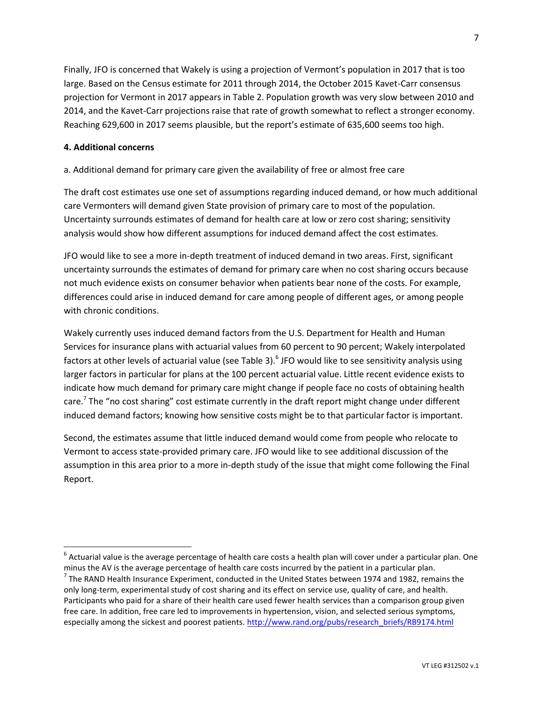Finally, JFO is concerned that Wakely is using a projection of Vermont's population in 2017 that is too large. Based on the Census estimate for 2011 through 2014, the October 2015 Kavet-Carr consensus projection for Vermont in 2017 appears in Table 2. Population growth was very slow between 2010 and 2014, and the Kavet-Carr projections raise that rate of growth somewhat to reflect a stronger economy. Reaching 629,600 in 2017 seems plausible, but the report's estimate of 635,600 seems too high.

### **4. Additional concerns**

 $\overline{\phantom{a}}$ 

a. Additional demand for primary care given the availability of free or almost free care

The draft cost estimates use one set of assumptions regarding induced demand, or how much additional care Vermonters will demand given State provision of primary care to most of the population. Uncertainty surrounds estimates of demand for health care at low or zero cost sharing; sensitivity analysis would show how different assumptions for induced demand affect the cost estimates.

JFO would like to see a more in-depth treatment of induced demand in two areas. First, significant uncertainty surrounds the estimates of demand for primary care when no cost sharing occurs because not much evidence exists on consumer behavior when patients bear none of the costs. For example, differences could arise in induced demand for care among people of different ages, or among people with chronic conditions.

Wakely currently uses induced demand factors from the U.S. Department for Health and Human Services for insurance plans with actuarial values from 60 percent to 90 percent; Wakely interpolated factors at other levels of actuarial value (see Table 3).<sup>6</sup> JFO would like to see sensitivity analysis using larger factors in particular for plans at the 100 percent actuarial value. Little recent evidence exists to indicate how much demand for primary care might change if people face no costs of obtaining health care.<sup>7</sup> The "no cost sharing" cost estimate currently in the draft report might change under different induced demand factors; knowing how sensitive costs might be to that particular factor is important.

Second, the estimates assume that little induced demand would come from people who relocate to Vermont to access state-provided primary care. JFO would like to see additional discussion of the assumption in this area prior to a more in-depth study of the issue that might come following the Final Report.

 $^6$  Actuarial value is the average percentage of health care costs a health plan will cover under a particular plan. One minus the AV is the average percentage of health care costs incurred by the patient in a particular plan.

 $^7$  The RAND Health Insurance Experiment, conducted in the United States between 1974 and 1982, remains the only long-term, experimental study of cost sharing and its effect on service use, quality of care, and health. Participants who paid for a share of their health care used fewer health services than a comparison group given free care. In addition, free care led to improvements in hypertension, vision, and selected serious symptoms, especially among the sickest and poorest patients[. http://www.rand.org/pubs/research\\_briefs/RB9174.html](http://www.rand.org/pubs/research_briefs/RB9174.html)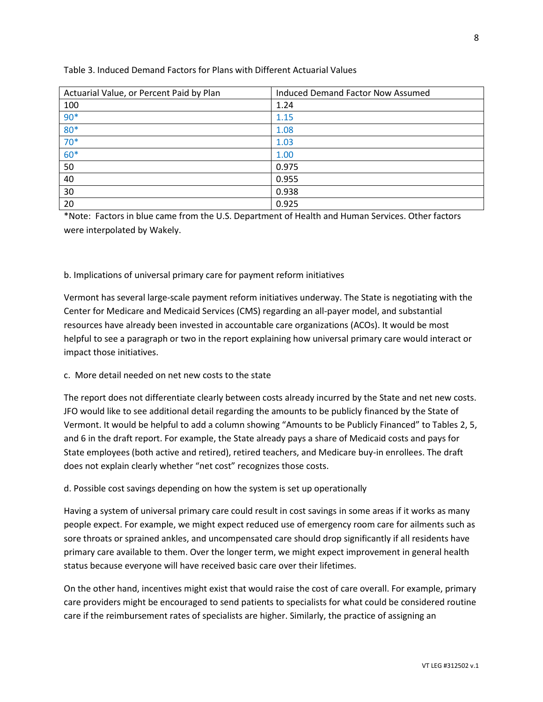| Actuarial Value, or Percent Paid by Plan | <b>Induced Demand Factor Now Assumed</b> |
|------------------------------------------|------------------------------------------|
| 100                                      | 1.24                                     |
| $90*$                                    | 1.15                                     |
| $80*$                                    | 1.08                                     |
| $70*$                                    | 1.03                                     |
| $60*$                                    | 1.00                                     |
| 50                                       | 0.975                                    |
| 40                                       | 0.955                                    |
| 30                                       | 0.938                                    |
| 20                                       | 0.925                                    |

### Table 3. Induced Demand Factors for Plans with Different Actuarial Values

\*Note: Factors in blue came from the U.S. Department of Health and Human Services. Other factors were interpolated by Wakely.

### b. Implications of universal primary care for payment reform initiatives

Vermont has several large-scale payment reform initiatives underway. The State is negotiating with the Center for Medicare and Medicaid Services (CMS) regarding an all-payer model, and substantial resources have already been invested in accountable care organizations (ACOs). It would be most helpful to see a paragraph or two in the report explaining how universal primary care would interact or impact those initiatives.

### c. More detail needed on net new costs to the state

The report does not differentiate clearly between costs already incurred by the State and net new costs. JFO would like to see additional detail regarding the amounts to be publicly financed by the State of Vermont. It would be helpful to add a column showing "Amounts to be Publicly Financed" to Tables 2, 5, and 6 in the draft report. For example, the State already pays a share of Medicaid costs and pays for State employees (both active and retired), retired teachers, and Medicare buy-in enrollees. The draft does not explain clearly whether "net cost" recognizes those costs.

#### d. Possible cost savings depending on how the system is set up operationally

Having a system of universal primary care could result in cost savings in some areas if it works as many people expect. For example, we might expect reduced use of emergency room care for ailments such as sore throats or sprained ankles, and uncompensated care should drop significantly if all residents have primary care available to them. Over the longer term, we might expect improvement in general health status because everyone will have received basic care over their lifetimes.

On the other hand, incentives might exist that would raise the cost of care overall. For example, primary care providers might be encouraged to send patients to specialists for what could be considered routine care if the reimbursement rates of specialists are higher. Similarly, the practice of assigning an